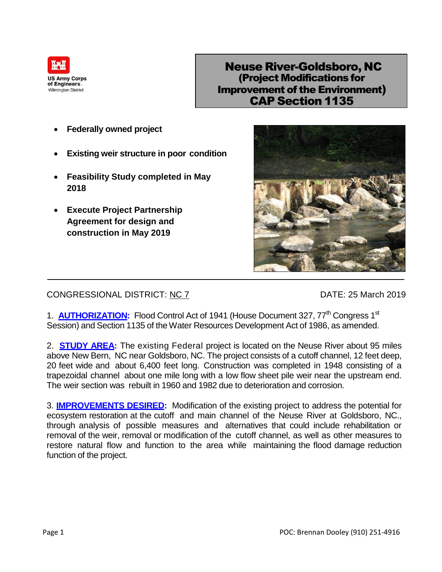

## Neuse River-Goldsboro, NC (Project Modifications for Improvement of the Environment) CAP Section 1135

- **Federally owned project**
- **Existing weir structure in poor condition**
- **Feasibility Study completed in May 2018**
- **Execute Project Partnership Agreement for design and construction in May 2019**



CONGRESSIONAL DISTRICT: NC 7 DATE: 25 March 2019

1. **AUTHORIZATION:** Flood Control Act of 1941 (House Document 327, 77<sup>th</sup> Congress 1<sup>st</sup> Session) and Section 1135 of the Water Resources Development Act of 1986, as amended.

2. **STUDY AREA:** The existing Federal project is located on the Neuse River about 95 miles above New Bern, NC near Goldsboro, NC. The project consists of a cutoff channel, 12 feet deep, 20 feet wide and about 6,400 feet long. Construction was completed in 1948 consisting of a trapezoidal channel about one mile long with a low flow sheet pile weir near the upstream end. The weir section was rebuilt in 1960 and 1982 due to deterioration and corrosion.

3. **IMPROVEMENTS DESIRED:** Modification of the existing project to address the potential for ecosystem restoration at the cutoff and main channel of the Neuse River at Goldsboro, NC., through analysis of possible measures and alternatives that could include rehabilitation or removal of the weir, removal or modification of the cutoff channel, as well as other measures to restore natural flow and function to the area while maintaining the flood damage reduction function of the project.